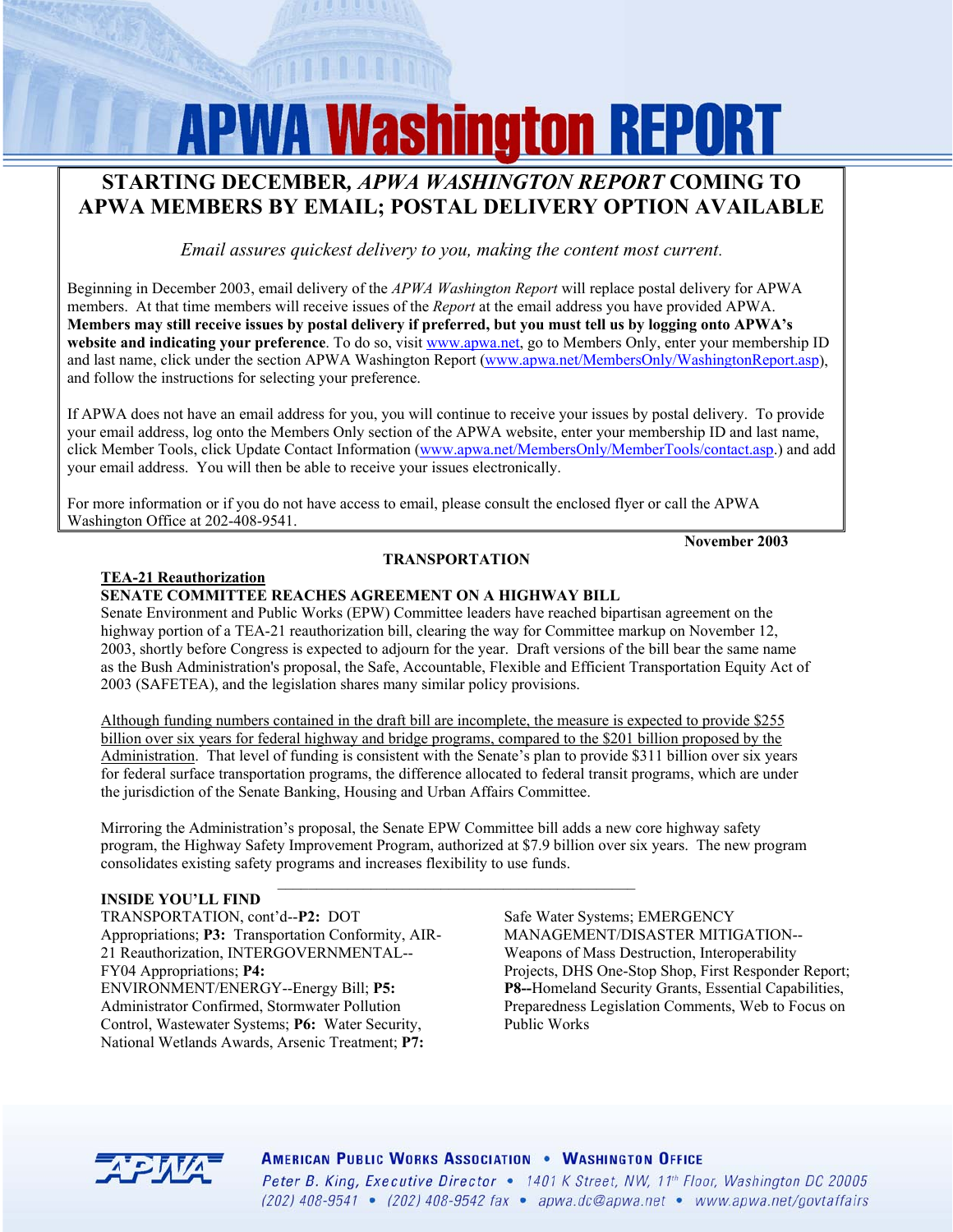# **APWA Washington REPORT**

# **STARTING DECEMBER***, APWA WASHINGTON REPORT* **COMING TO APWA MEMBERS BY EMAIL; POSTAL DELIVERY OPTION AVAILABLE**

*Email assures quickest delivery to you, making the content most current*.

Beginning in December 2003, email delivery of the *APWA Washington Report* will replace postal delivery for APWA members. At that time members will receive issues of the *Report* at the email address you have provided APWA. **Members may still receive issues by postal delivery if preferred, but you must tell us by logging onto APWA's website and indicating your preference**. To do so, visit [www.apwa.net,](http://www.apwa.net) go to Members Only, enter your membership ID and last name, click under the section APWA Washington Report ([www.apwa.net/MembersOnly/WashingtonReport.asp\)](http://www.apwa.net/MembersOnly/WashingtonReport.asp), and follow the instructions for selecting your preference.

If APWA does not have an email address for you, you will continue to receive your issues by postal delivery. To provide your email address, log onto the Members Only section of the APWA website, enter your membership ID and last name, click Member Tools, click Update Contact Information [\(www.apwa.net/MembersOnly/MemberTools/contact.asp.\)](http://www.apwa.net/MembersOnly/MemberTools/contact.asp) and add your email address. You will then be able to receive your issues electronically.

For more information or if you do not have access to email, please consult the enclosed flyer or call the APWA Washington Office at 202-408-9541.

 **November 2003** 

# **TEA-21 Reauthorization**

# **SENATE COMMITTEE REACHES AGREEMENT ON A HIGHWAY BILL**

Senate Environment and Public Works (EPW) Committee leaders have reached bipartisan agreement on the highway portion of a TEA-21 reauthorization bill, clearing the way for Committee markup on November 12, 2003, shortly before Congress is expected to adjourn for the year. Draft versions of the bill bear the same name as the Bush Administration's proposal, the Safe, Accountable, Flexible and Efficient Transportation Equity Act of 2003 (SAFETEA), and the legislation shares many similar policy provisions.

**TRANSPORTATION**

Although funding numbers contained in the draft bill are incomplete, the measure is expected to provide \$255 billion over six years for federal highway and bridge programs, compared to the \$201 billion proposed by the Administration. That level of funding is consistent with the Senate's plan to provide \$311 billion over six years for federal surface transportation programs, the difference allocated to federal transit programs, which are under the jurisdiction of the Senate Banking, Housing and Urban Affairs Committee.

Mirroring the Administration's proposal, the Senate EPW Committee bill adds a new core highway safety program, the Highway Safety Improvement Program, authorized at \$7.9 billion over six years. The new program consolidates existing safety programs and increases flexibility to use funds.

#### **INSIDE YOU'LL FIND**

TRANSPORTATION, cont'd--**P2:** DOT Appropriations; **P3:** Transportation Conformity, AIR-21 Reauthorization, INTERGOVERNMENTAL-- FY04 Appropriations; **P4:**  ENVIRONMENT/ENERGY--Energy Bill; **P5:**  Administrator Confirmed, Stormwater Pollution Control, Wastewater Systems; **P6:** Water Security, National Wetlands Awards, Arsenic Treatment; **P7:** 

Safe Water Systems; EMERGENCY MANAGEMENT/DISASTER MITIGATION-- Weapons of Mass Destruction, Interoperability Projects, DHS One-Stop Shop, First Responder Report; **P8--**Homeland Security Grants, Essential Capabilities, Preparedness Legislation Comments, Web to Focus on Public Works



**AMERICAN PUBLIC WORKS ASSOCIATION . WASHINGTON OFFICE** Peter B. King, Executive Director • 1401 K Street, NW, 11<sup>th</sup> Floor, Washington DC 20005 (202)  $408-9541$  • (202)  $408-9542$  fax • apwa.dc@apwa.net • www.apwa.net/govtaffairs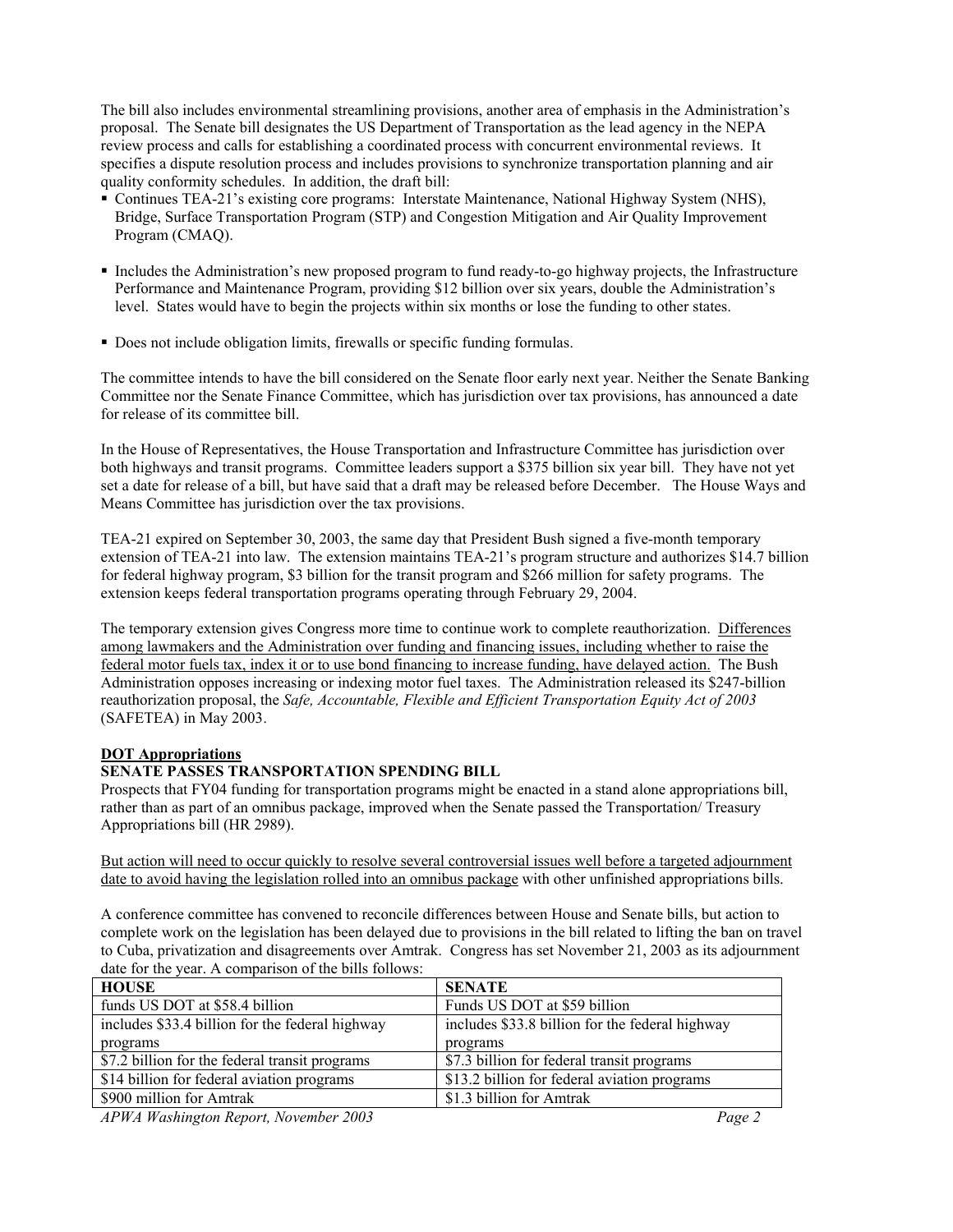The bill also includes environmental streamlining provisions, another area of emphasis in the Administration's proposal. The Senate bill designates the US Department of Transportation as the lead agency in the NEPA review process and calls for establishing a coordinated process with concurrent environmental reviews. It specifies a dispute resolution process and includes provisions to synchronize transportation planning and air quality conformity schedules. In addition, the draft bill:

- Continues TEA-21's existing core programs: Interstate Maintenance, National Highway System (NHS), Bridge, Surface Transportation Program (STP) and Congestion Mitigation and Air Quality Improvement Program (CMAQ).
- Includes the Administration's new proposed program to fund ready-to-go highway projects, the Infrastructure Performance and Maintenance Program, providing \$12 billion over six years, double the Administration's level. States would have to begin the projects within six months or lose the funding to other states.
- Does not include obligation limits, firewalls or specific funding formulas.

The committee intends to have the bill considered on the Senate floor early next year. Neither the Senate Banking Committee nor the Senate Finance Committee, which has jurisdiction over tax provisions, has announced a date for release of its committee bill.

In the House of Representatives, the House Transportation and Infrastructure Committee has jurisdiction over both highways and transit programs. Committee leaders support a \$375 billion six year bill. They have not yet set a date for release of a bill, but have said that a draft may be released before December. The House Ways and Means Committee has jurisdiction over the tax provisions.

TEA-21 expired on September 30, 2003, the same day that President Bush signed a five-month temporary extension of TEA-21 into law. The extension maintains TEA-21's program structure and authorizes \$14.7 billion for federal highway program, \$3 billion for the transit program and \$266 million for safety programs. The extension keeps federal transportation programs operating through February 29, 2004.

The temporary extension gives Congress more time to continue work to complete reauthorization. Differences among lawmakers and the Administration over funding and financing issues, including whether to raise the federal motor fuels tax, index it or to use bond financing to increase funding, have delayed action. The Bush Administration opposes increasing or indexing motor fuel taxes. The Administration released its \$247-billion reauthorization proposal, the *Safe, Accountable, Flexible and Efficient Transportation Equity Act of 2003* (SAFETEA) in May 2003.

#### **DOT Appropriations**

#### **SENATE PASSES TRANSPORTATION SPENDING BILL**

Prospects that FY04 funding for transportation programs might be enacted in a stand alone appropriations bill, rather than as part of an omnibus package, improved when the Senate passed the Transportation/ Treasury Appropriations bill (HR 2989).

But action will need to occur quickly to resolve several controversial issues well before a targeted adjournment date to avoid having the legislation rolled into an omnibus package with other unfinished appropriations bills.

A conference committee has convened to reconcile differences between House and Senate bills, but action to complete work on the legislation has been delayed due to provisions in the bill related to lifting the ban on travel to Cuba, privatization and disagreements over Amtrak. Congress has set November 21, 2003 as its adjournment date for the year. A comparison of the bills follows:

| <b>HOUSE</b>                                    | <b>SENATE</b>                                   |
|-------------------------------------------------|-------------------------------------------------|
| funds US DOT at \$58.4 billion                  | Funds US DOT at \$59 billion                    |
| includes \$33.4 billion for the federal highway | includes \$33.8 billion for the federal highway |
| programs                                        | programs                                        |
| \$7.2 billion for the federal transit programs  | \$7.3 billion for federal transit programs      |
| \$14 billion for federal aviation programs      | \$13.2 billion for federal aviation programs    |
| \$900 million for Amtrak                        | \$1.3 billion for Amtrak                        |
| $\sqrt{1 + \pi}$<br>0.002                       | $\sqrt{ }$                                      |

*APWA Washington Report, November 2003 Page 2*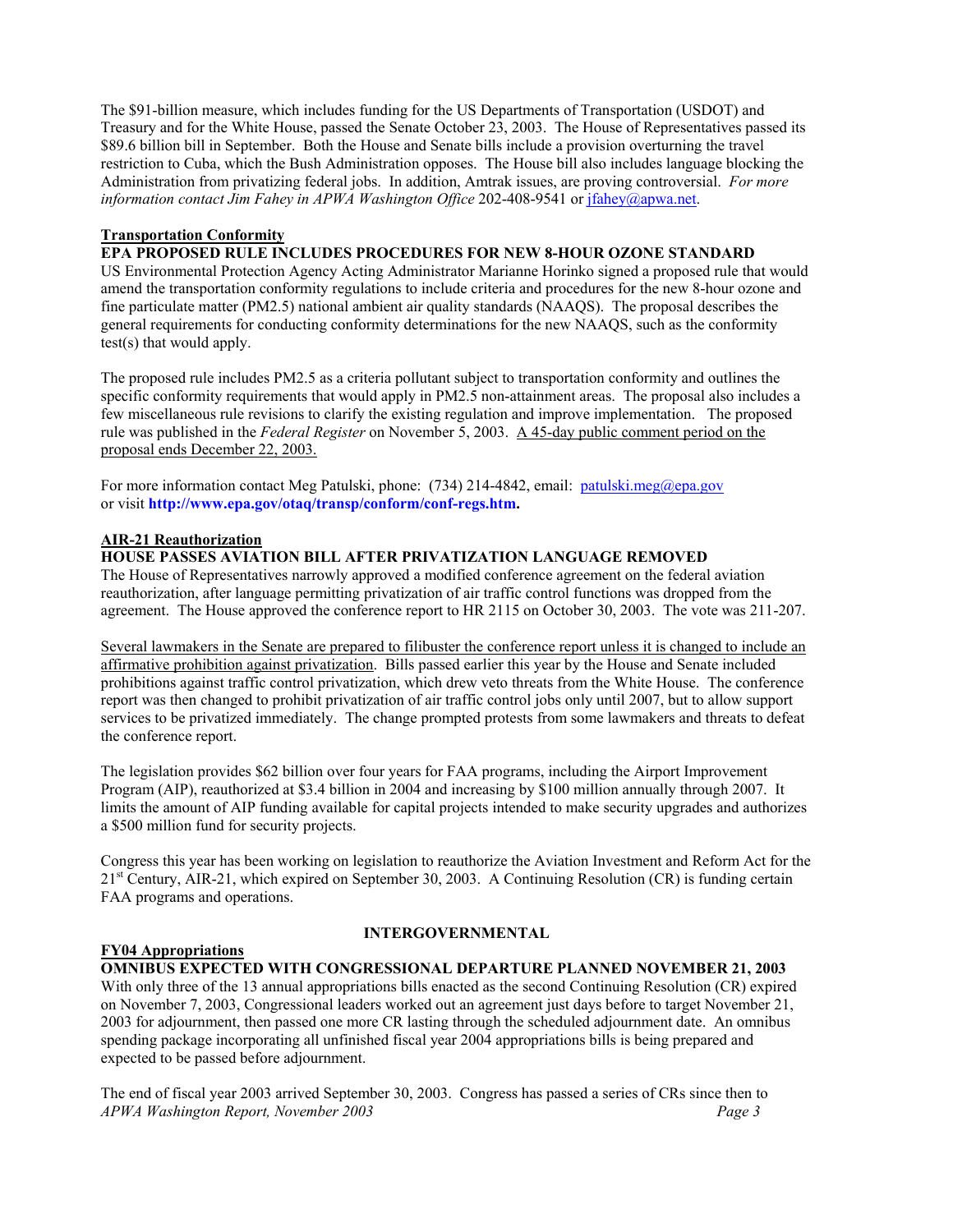The \$91-billion measure, which includes funding for the US Departments of Transportation (USDOT) and Treasury and for the White House, passed the Senate October 23, 2003. The House of Representatives passed its \$89.6 billion bill in September. Both the House and Senate bills include a provision overturning the travel restriction to Cuba, which the Bush Administration opposes. The House bill also includes language blocking the Administration from privatizing federal jobs. In addition, Amtrak issues, are proving controversial. *For more information contact Jim Fahey in APWA Washington Office* 202-408-9541 or [jfahey@apwa.net.](mailto:jfahey@apwa.net)

#### **Transportation Conformity**

#### **EPA PROPOSED RULE INCLUDES PROCEDURES FOR NEW 8-HOUR OZONE STANDARD**

US Environmental Protection Agency Acting Administrator Marianne Horinko signed a proposed rule that would amend the transportation conformity regulations to include criteria and procedures for the new 8-hour ozone and fine particulate matter (PM2.5) national ambient air quality standards (NAAQS). The proposal describes the general requirements for conducting conformity determinations for the new NAAQS, such as the conformity test(s) that would apply.

The proposed rule includes PM2.5 as a criteria pollutant subject to transportation conformity and outlines the specific conformity requirements that would apply in PM2.5 non-attainment areas. The proposal also includes a few miscellaneous rule revisions to clarify the existing regulation and improve implementation. The proposed rule was published in the *Federal Register* on November 5, 2003. A 45-day public comment period on the proposal ends December 22, 2003.

For more information contact Meg Patulski, phone: (734) 214-4842, email: [patulski.meg@epa.gov](mailto:patulski.meg@epa.gov) or visit **[http://www.epa.gov/otaq/transp/conform/conf-regs.htm.](http://www.epa.gov/otaq/transp/conform/conf-regs.htm)**

# **AIR-21 Reauthorization**

# **HOUSE PASSES AVIATION BILL AFTER PRIVATIZATION LANGUAGE REMOVED**

The House of Representatives narrowly approved a modified conference agreement on the federal aviation reauthorization, after language permitting privatization of air traffic control functions was dropped from the agreement. The House approved the conference report to HR 2115 on October 30, 2003. The vote was 211-207.

Several lawmakers in the Senate are prepared to filibuster the conference report unless it is changed to include an affirmative prohibition against privatization. Bills passed earlier this year by the House and Senate included prohibitions against traffic control privatization, which drew veto threats from the White House. The conference report was then changed to prohibit privatization of air traffic control jobs only until 2007, but to allow support services to be privatized immediately. The change prompted protests from some lawmakers and threats to defeat the conference report.

The legislation provides \$62 billion over four years for FAA programs, including the Airport Improvement Program (AIP), reauthorized at \$3.4 billion in 2004 and increasing by \$100 million annually through 2007. It limits the amount of AIP funding available for capital projects intended to make security upgrades and authorizes a \$500 million fund for security projects.

Congress this year has been working on legislation to reauthorize the Aviation Investment and Reform Act for the  $21<sup>st</sup>$  Century, AIR-21, which expired on September 30, 2003. A Continuing Resolution (CR) is funding certain FAA programs and operations.

#### **FY04 Appropriations**

#### **INTERGOVERNMENTAL**

**OMNIBUS EXPECTED WITH CONGRESSIONAL DEPARTURE PLANNED NOVEMBER 21, 2003**  With only three of the 13 annual appropriations bills enacted as the second Continuing Resolution (CR) expired on November 7, 2003, Congressional leaders worked out an agreement just days before to target November 21, 2003 for adjournment, then passed one more CR lasting through the scheduled adjournment date. An omnibus spending package incorporating all unfinished fiscal year 2004 appropriations bills is being prepared and expected to be passed before adjournment.

The end of fiscal year 2003 arrived September 30, 2003. Congress has passed a series of CRs since then to *APWA Washington Report, November 2003 Page 3*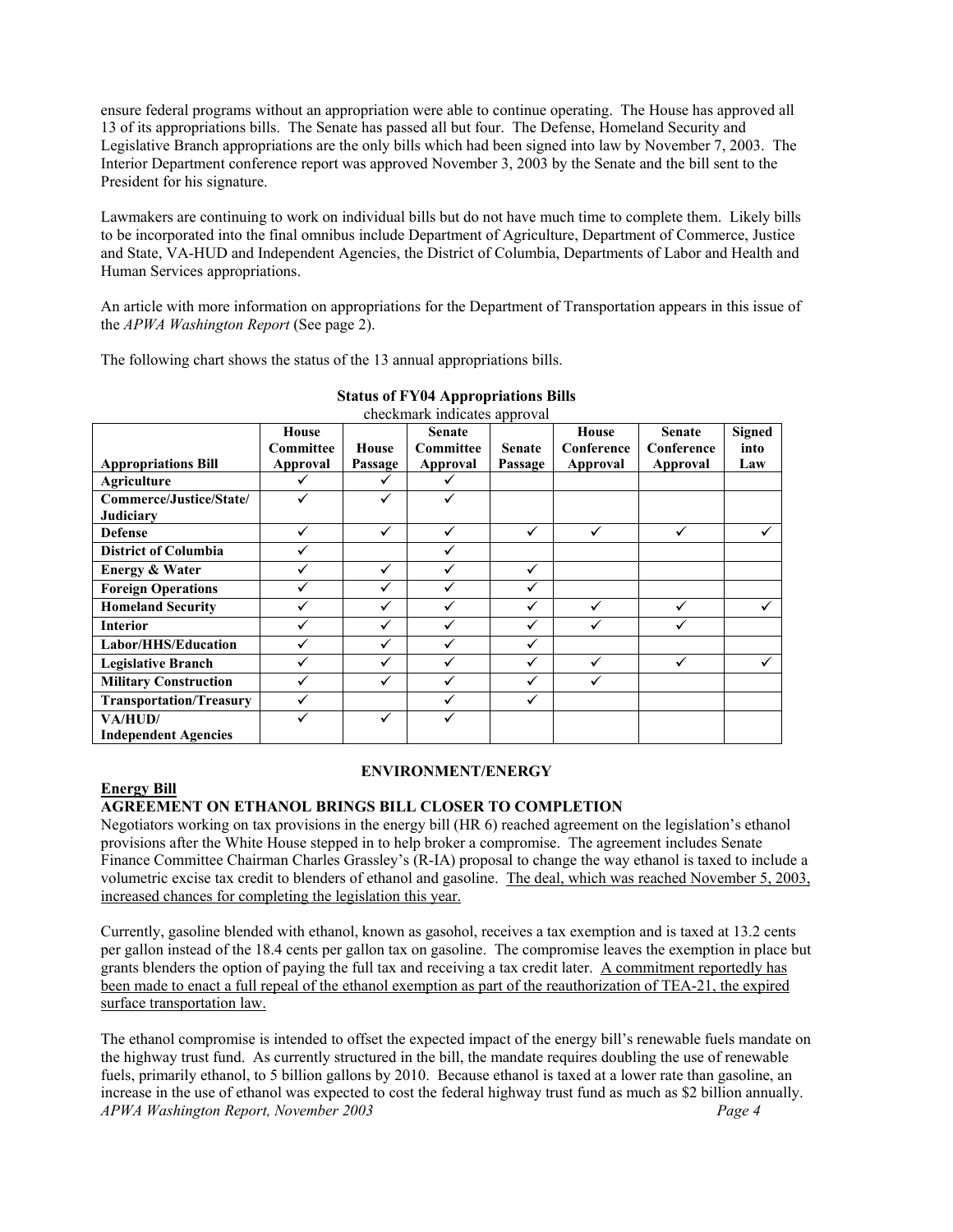ensure federal programs without an appropriation were able to continue operating. The House has approved all 13 of its appropriations bills. The Senate has passed all but four. The Defense, Homeland Security and Legislative Branch appropriations are the only bills which had been signed into law by November 7, 2003. The Interior Department conference report was approved November 3, 2003 by the Senate and the bill sent to the President for his signature.

Lawmakers are continuing to work on individual bills but do not have much time to complete them. Likely bills to be incorporated into the final omnibus include Department of Agriculture, Department of Commerce, Justice and State, VA-HUD and Independent Agencies, the District of Columbia, Departments of Labor and Health and Human Services appropriations.

An article with more information on appropriations for the Department of Transportation appears in this issue of the *APWA Washington Report* (See page 2).

The following chart shows the status of the 13 annual appropriations bills.

| checkmark indicates approval   |              |         |                  |               |              |               |               |  |  |
|--------------------------------|--------------|---------|------------------|---------------|--------------|---------------|---------------|--|--|
|                                | House        |         | <b>Senate</b>    |               | House        | <b>Senate</b> | <b>Signed</b> |  |  |
|                                | Committee    | House   | <b>Committee</b> | <b>Senate</b> | Conference   | Conference    | into          |  |  |
| <b>Appropriations Bill</b>     | Approval     | Passage | Approval         | Passage       | Approval     | Approval      | Law           |  |  |
| <b>Agriculture</b>             | ✓            |         | ✓                |               |              |               |               |  |  |
| Commerce/Justice/State/        | ✓            | ✓       | ✓                |               |              |               |               |  |  |
| <b>Judiciary</b>               |              |         |                  |               |              |               |               |  |  |
| <b>Defense</b>                 | ✓            | ✓       | ✓                | $\checkmark$  | ✓            |               | ✓             |  |  |
| <b>District of Columbia</b>    |              |         | ✓                |               |              |               |               |  |  |
| <b>Energy &amp; Water</b>      | $\checkmark$ | ✓       | ✓                | ✓             |              |               |               |  |  |
| <b>Foreign Operations</b>      | ✓            | ✓       | $\checkmark$     | ✓             |              |               |               |  |  |
| <b>Homeland Security</b>       | ✓            | ✓       | ✓                | ✓             | $\checkmark$ | $\checkmark$  | ✓             |  |  |
| <b>Interior</b>                | ✓            | ✓       | $\checkmark$     | ✓             |              |               |               |  |  |
| Labor/HHS/Education            | ✓            | ✓       | $\checkmark$     | $\checkmark$  |              |               |               |  |  |
| <b>Legislative Branch</b>      |              | ✓       | $\checkmark$     | $\checkmark$  | ✓            |               |               |  |  |
| <b>Military Construction</b>   |              | ✓       | $\checkmark$     | $\checkmark$  |              |               |               |  |  |
| <b>Transportation/Treasury</b> | ✓            |         |                  |               |              |               |               |  |  |
| VA/HUD/                        |              | ✓       |                  |               |              |               |               |  |  |
| <b>Independent Agencies</b>    |              |         |                  |               |              |               |               |  |  |

# **Status of FY04 Appropriations Bills**

#### **ENVIRONMENT/ENERGY**

#### **Energy Bill**

# **AGREEMENT ON ETHANOL BRINGS BILL CLOSER TO COMPLETION**

Negotiators working on tax provisions in the energy bill (HR 6) reached agreement on the legislation's ethanol provisions after the White House stepped in to help broker a compromise. The agreement includes Senate Finance Committee Chairman Charles Grassley's (R-IA) proposal to change the way ethanol is taxed to include a volumetric excise tax credit to blenders of ethanol and gasoline. The deal, which was reached November 5, 2003, increased chances for completing the legislation this year.

Currently, gasoline blended with ethanol, known as gasohol, receives a tax exemption and is taxed at 13.2 cents per gallon instead of the 18.4 cents per gallon tax on gasoline. The compromise leaves the exemption in place but grants blenders the option of paying the full tax and receiving a tax credit later. A commitment reportedly has been made to enact a full repeal of the ethanol exemption as part of the reauthorization of TEA-21, the expired surface transportation law.

The ethanol compromise is intended to offset the expected impact of the energy bill's renewable fuels mandate on the highway trust fund. As currently structured in the bill, the mandate requires doubling the use of renewable fuels, primarily ethanol, to 5 billion gallons by 2010. Because ethanol is taxed at a lower rate than gasoline, an increase in the use of ethanol was expected to cost the federal highway trust fund as much as \$2 billion annually. *APWA Washington Report, November 2003 Page 4*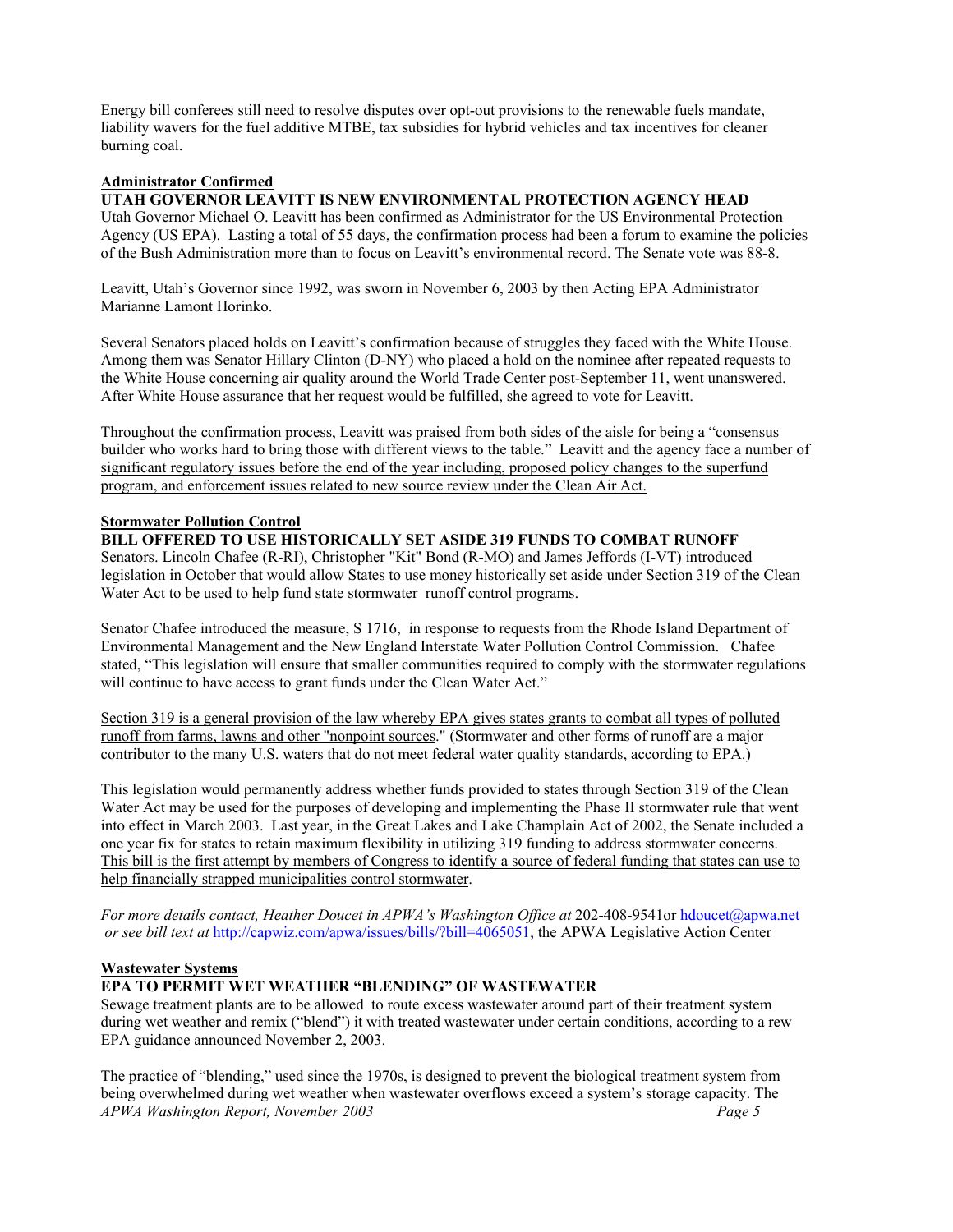Energy bill conferees still need to resolve disputes over opt-out provisions to the renewable fuels mandate, liability wavers for the fuel additive MTBE, tax subsidies for hybrid vehicles and tax incentives for cleaner burning coal.

# **Administrator Confirmed**

# **UTAH GOVERNOR LEAVITT IS NEW ENVIRONMENTAL PROTECTION AGENCY HEAD**

Utah Governor Michael O. Leavitt has been confirmed as Administrator for the US Environmental Protection Agency (US EPA). Lasting a total of 55 days, the confirmation process had been a forum to examine the policies of the Bush Administration more than to focus on Leavitt's environmental record. The Senate vote was 88-8.

Leavitt, Utah's Governor since 1992, was sworn in November 6, 2003 by then Acting EPA Administrator Marianne Lamont Horinko.

Several Senators placed holds on Leavitt's confirmation because of struggles they faced with the White House. Among them was Senator Hillary Clinton (D-NY) who placed a hold on the nominee after repeated requests to the White House concerning air quality around the World Trade Center post-September 11, went unanswered. After White House assurance that her request would be fulfilled, she agreed to vote for Leavitt.

Throughout the confirmation process, Leavitt was praised from both sides of the aisle for being a "consensus builder who works hard to bring those with different views to the table." Leavitt and the agency face a number of significant regulatory issues before the end of the year including, proposed policy changes to the superfund program, and enforcement issues related to new source review under the Clean Air Act.

#### **Stormwater Pollution Control**

**BILL OFFERED TO USE HISTORICALLY SET ASIDE 319 FUNDS TO COMBAT RUNOFF** Senators. Lincoln Chafee (R-RI), Christopher "Kit" Bond (R-MO) and James Jeffords (I-VT) introduced legislation in October that would allow States to use money historically set aside under Section 319 of the Clean Water Act to be used to help fund state stormwater runoff control programs.

Senator Chafee introduced the measure, S 1716, in response to requests from the Rhode Island Department of Environmental Management and the New England Interstate Water Pollution Control Commission. Chafee stated, "This legislation will ensure that smaller communities required to comply with the stormwater regulations will continue to have access to grant funds under the Clean Water Act."

Section 319 is a general provision of the law whereby EPA gives states grants to combat all types of polluted runoff from farms, lawns and other "nonpoint sources." (Stormwater and other forms of runoff are a major contributor to the many U.S. waters that do not meet federal water quality standards, according to EPA.)

This legislation would permanently address whether funds provided to states through Section 319 of the Clean Water Act may be used for the purposes of developing and implementing the Phase II stormwater rule that went into effect in March 2003. Last year, in the Great Lakes and Lake Champlain Act of 2002, the Senate included a one year fix for states to retain maximum flexibility in utilizing 319 funding to address stormwater concerns. This bill is the first attempt by members of Congress to identify a source of federal funding that states can use to help financially strapped municipalities control stormwater.

*For more details contact, Heather Doucet in APWA's Washington Office at* 202-408-9541or [hdoucet@apwa.net](mailto:hdoucet@apwa.net)  *or see bill text at* [http://capwiz.com/apwa/issues/bills/?bill=4065051,](http://capwiz.com/apwa/issues/bills/?bill=4065051) the APWA Legislative Action Center

#### **Wastewater Systems**

# **EPA TO PERMIT WET WEATHER "BLENDING" OF WASTEWATER**

Sewage treatment plants are to be allowed to route excess wastewater around part of their treatment system during wet weather and remix ("blend") it with treated wastewater under certain conditions, according to a rew EPA guidance announced November 2, 2003.

The practice of "blending," used since the 1970s, is designed to prevent the biological treatment system from being overwhelmed during wet weather when wastewater overflows exceed a system's storage capacity. The *APWA Washington Report, November 2003 Page 5*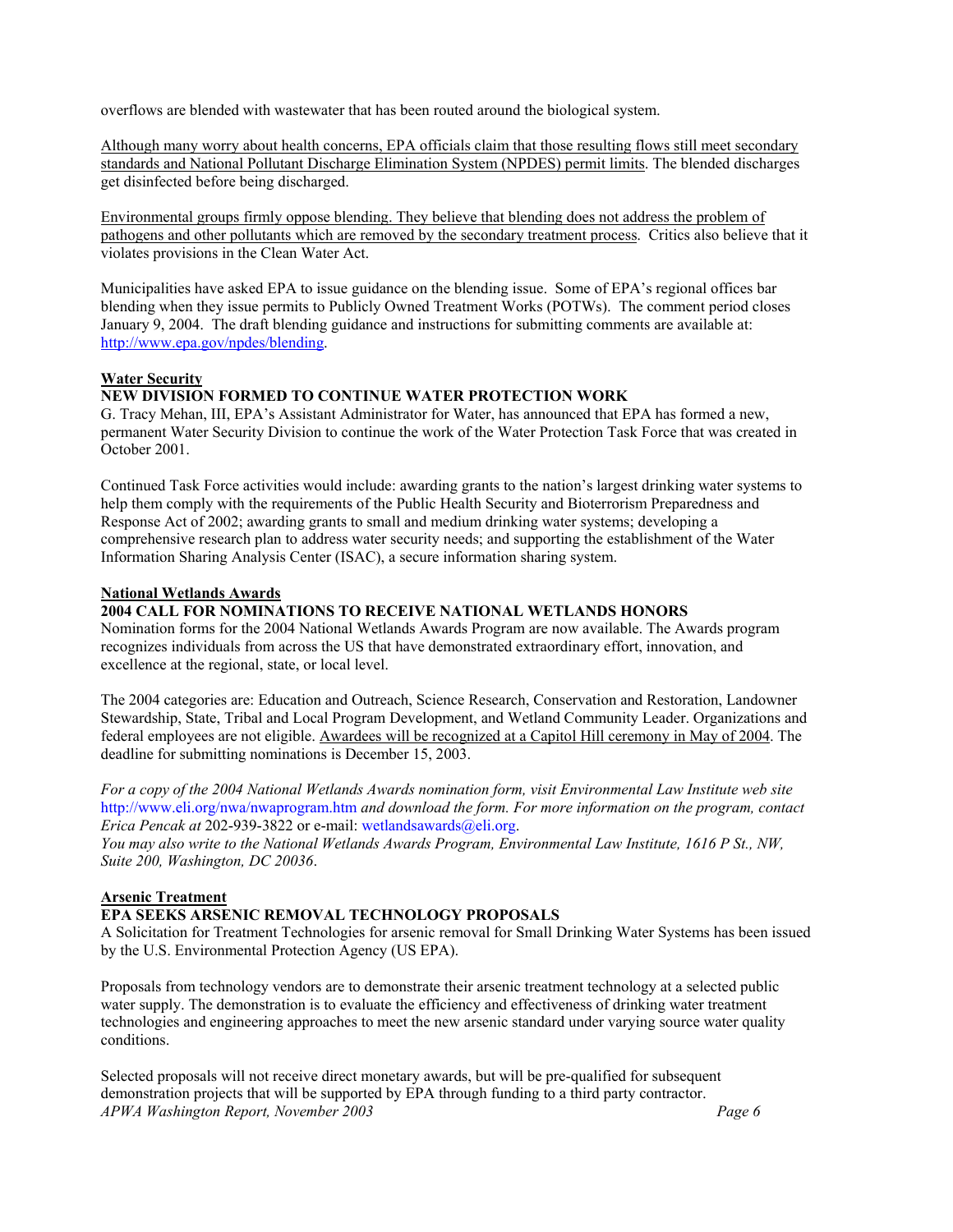overflows are blended with wastewater that has been routed around the biological system.

Although many worry about health concerns, EPA officials claim that those resulting flows still meet secondary standards and National Pollutant Discharge Elimination System (NPDES) permit limits. The blended discharges get disinfected before being discharged.

Environmental groups firmly oppose blending. They believe that blending does not address the problem of pathogens and other pollutants which are removed by the secondary treatment process. Critics also believe that it violates provisions in the Clean Water Act.

Municipalities have asked EPA to issue guidance on the blending issue. Some of EPA's regional offices bar blending when they issue permits to Publicly Owned Treatment Works (POTWs). The comment period closes January 9, 2004. The draft blending guidance and instructions for submitting comments are available at: [http://www.epa.gov/npdes/blending.](http://www.epa.gov/npdes/blending) 

#### **Water Security**

# **NEW DIVISION FORMED TO CONTINUE WATER PROTECTION WORK**

G. Tracy Mehan, III, EPA's Assistant Administrator for Water, has announced that EPA has formed a new, permanent Water Security Division to continue the work of the Water Protection Task Force that was created in October 2001.

Continued Task Force activities would include: awarding grants to the nation's largest drinking water systems to help them comply with the requirements of the Public Health Security and Bioterrorism Preparedness and Response Act of 2002; awarding grants to small and medium drinking water systems; developing a comprehensive research plan to address water security needs; and supporting the establishment of the Water Information Sharing Analysis Center (ISAC), a secure information sharing system.

#### **National Wetlands Awards**

#### **2004 CALL FOR NOMINATIONS TO RECEIVE NATIONAL WETLANDS HONORS**

Nomination forms for the 2004 National Wetlands Awards Program are now available. The Awards program recognizes individuals from across the US that have demonstrated extraordinary effort, innovation, and excellence at the regional, state, or local level.

The 2004 categories are: Education and Outreach, Science Research, Conservation and Restoration, Landowner Stewardship, State, Tribal and Local Program Development, and Wetland Community Leader. Organizations and federal employees are not eligible. Awardees will be recognized at a Capitol Hill ceremony in May of 2004. The deadline for submitting nominations is December 15, 2003.

*For a copy of the 2004 National Wetlands Awards nomination form, visit Environmental Law Institute web site* <http://www.eli.org/nwa/nwaprogram.htm> *and download the form. For more information on the program, contact Erica Pencak at* 202-939-3822 or e-mail: [wetlandsawards@eli.org.](mailto:wetlandsawards@eli.org)

*You may also write to the National Wetlands Awards Program, Environmental Law Institute, 1616 P St., NW, Suite 200, Washington, DC 20036*.

# **Arsenic Treatment**

#### **EPA SEEKS ARSENIC REMOVAL TECHNOLOGY PROPOSALS**

A Solicitation for Treatment Technologies for arsenic removal for Small Drinking Water Systems has been issued by the U.S. Environmental Protection Agency (US EPA).

Proposals from technology vendors are to demonstrate their arsenic treatment technology at a selected public water supply. The demonstration is to evaluate the efficiency and effectiveness of drinking water treatment technologies and engineering approaches to meet the new arsenic standard under varying source water quality conditions.

Selected proposals will not receive direct monetary awards, but will be pre-qualified for subsequent demonstration projects that will be supported by EPA through funding to a third party contractor. *APWA Washington Report, November 2003 Page 6*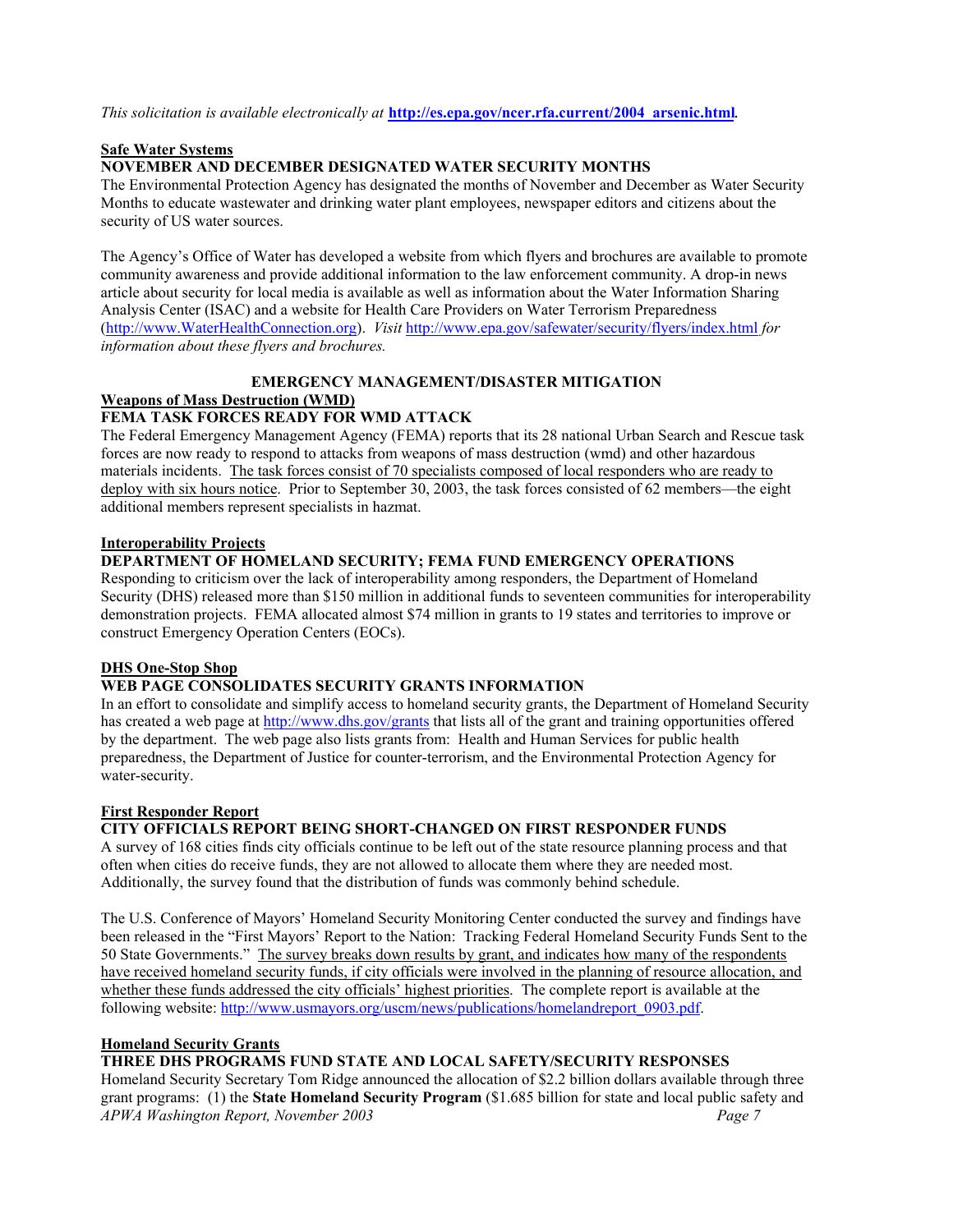#### *This solicitation is available electronically at* **[http://es.epa.gov/ncer.rfa.current/2004\\_arsenic.html](http://es.epa.gov/ncer.rfa.current/2004_arsenic.html)**.

#### **Safe Water Systems**

#### **NOVEMBER AND DECEMBER DESIGNATED WATER SECURITY MONTHS**

The Environmental Protection Agency has designated the months of November and December as Water Security Months to educate wastewater and drinking water plant employees, newspaper editors and citizens about the security of US water sources.

The Agency's Office of Water has developed a website from which flyers and brochures are available to promote community awareness and provide additional information to the law enforcement community. A drop-in news article about security for local media is available as well as information about the Water Information Sharing Analysis Center (ISAC) and a website for Health Care Providers on Water Terrorism Preparedness [\(http://www.WaterHealthConnection.org](http://www.WaterHealthConnection.org)). *Visit* <http://www.epa.gov/safewater/security/flyers/index.html> *for information about these flyers and brochures.* 

# **EMERGENCY MANAGEMENT/DISASTER MITIGATION Weapons of Mass Destruction (WMD)**

#### **FEMA TASK FORCES READY FOR WMD ATTACK**

The Federal Emergency Management Agency (FEMA) reports that its 28 national Urban Search and Rescue task forces are now ready to respond to attacks from weapons of mass destruction (wmd) and other hazardous materials incidents. The task forces consist of 70 specialists composed of local responders who are ready to deploy with six hours notice. Prior to September 30, 2003, the task forces consisted of 62 members—the eight additional members represent specialists in hazmat.

#### **Interoperability Projects**

#### **DEPARTMENT OF HOMELAND SECURITY; FEMA FUND EMERGENCY OPERATIONS**

Responding to criticism over the lack of interoperability among responders, the Department of Homeland Security (DHS) released more than \$150 million in additional funds to seventeen communities for interoperability demonstration projects. FEMA allocated almost \$74 million in grants to 19 states and territories to improve or construct Emergency Operation Centers (EOCs).

#### **DHS One-Stop Shop**

# **WEB PAGE CONSOLIDATES SECURITY GRANTS INFORMATION**

In an effort to consolidate and simplify access to homeland security grants, the Department of Homeland Security has created a web page at<http://www.dhs.gov/grants>that lists all of the grant and training opportunities offered by the department. The web page also lists grants from: Health and Human Services for public health preparedness, the Department of Justice for counter-terrorism, and the Environmental Protection Agency for water-security.

#### **First Responder Report**

# **CITY OFFICIALS REPORT BEING SHORT-CHANGED ON FIRST RESPONDER FUNDS**

A survey of 168 cities finds city officials continue to be left out of the state resource planning process and that often when cities do receive funds, they are not allowed to allocate them where they are needed most. Additionally, the survey found that the distribution of funds was commonly behind schedule.

The U.S. Conference of Mayors' Homeland Security Monitoring Center conducted the survey and findings have been released in the "First Mayors' Report to the Nation: Tracking Federal Homeland Security Funds Sent to the 50 State Governments." The survey breaks down results by grant, and indicates how many of the respondents have received homeland security funds, if city officials were involved in the planning of resource allocation, and whether these funds addressed the city officials' highest priorities. The complete report is available at the following website: [http://www.usmayors.org/uscm/news/publications/homelandreport\\_0903.pdf.](http://www.usmayors.org/uscm/news/publications/homelandreport_0903.pdf) 

#### **Homeland Security Grants**

# **THREE DHS PROGRAMS FUND STATE AND LOCAL SAFETY/SECURITY RESPONSES**

Homeland Security Secretary Tom Ridge announced the allocation of \$2.2 billion dollars available through three grant programs: (1) the **State Homeland Security Program** (\$1.685 billion for state and local public safety and *APWA Washington Report, November 2003 Page 7*